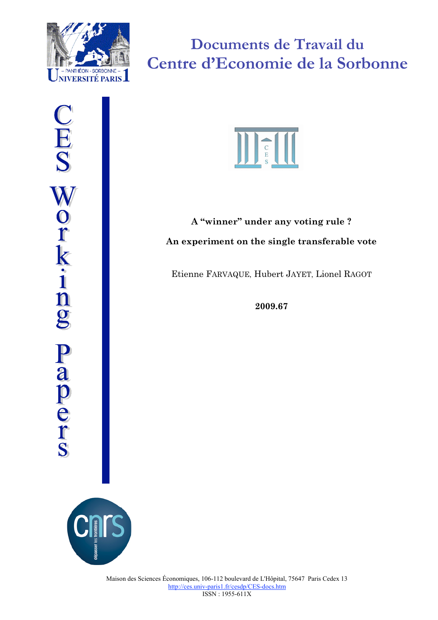

**Documents de Travail du Centre d'Economie de la Sorbonne**



 $\left|\left|\left|\left|\right|\right|\right| \underset{\mathbf{E}}{\left|\left|\right|}\right| \underset{\mathbf{S}}{\left|\left|\right|}\right|$ 

## **A "winner" under any voting rule ? An experiment on the single transferable vote**

Etienne FARVAQUE, Hubert JAYET, Lionel RAGOT

**2009.67**

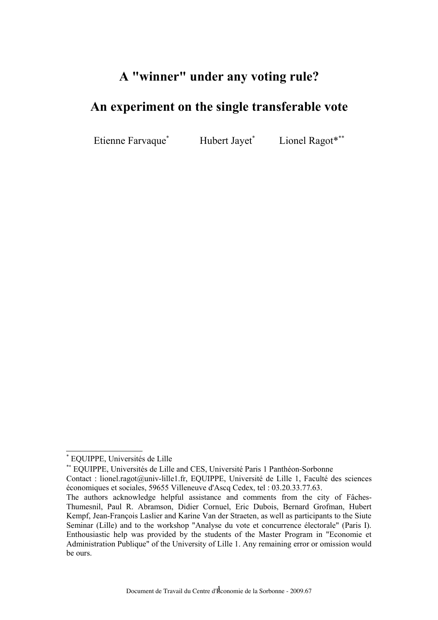# **A "winner" under any voting rule?**

## **An experiment on the single transferable vote**

Etienne Farvaque<sup>[\\*](#page-1-0)</sup> Hubert Jayet<sup>\*</sup> Lionel Ragot<sup>[\\*\\*](#page-1-1)\*</sup>

<span id="page-1-1"></span>\*\* EQUIPPE, Universités de Lille and CES, Université Paris 1 Panthéon-Sorbonne

<span id="page-1-0"></span><sup>\*</sup> EQUIPPE, Universités de Lille

Contact : lionel.ragot@univ-lille1.fr, EQUIPPE, Université de Lille 1, Faculté des sciences économiques et sociales, 59655 Villeneuve d'Ascq Cedex, tel : 03.20.33.77.63.

The authors acknowledge helpful assistance and comments from the city of Fâches-Thumesnil, Paul R. Abramson, Didier Cornuel, Eric Dubois, Bernard Grofman, Hubert Kempf, Jean-François Laslier and Karine Van der Straeten, as well as participants to the Siute Seminar (Lille) and to the workshop "Analyse du vote et concurrence électorale" (Paris I). Enthousiastic help was provided by the students of the Master Program in "Economie et Administration Publique" of the University of Lille 1. Any remaining error or omission would be ours.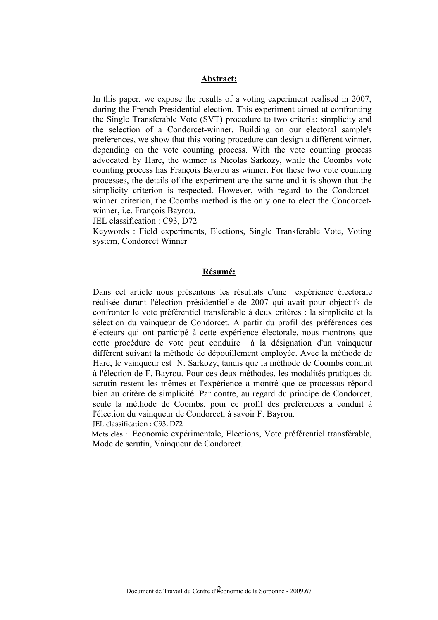#### **Abstract:**

In this paper, we expose the results of a voting experiment realised in 2007, during the French Presidential election. This experiment aimed at confronting the Single Transferable Vote (SVT) procedure to two criteria: simplicity and the selection of a Condorcet-winner. Building on our electoral sample's preferences, we show that this voting procedure can design a different winner, depending on the vote counting process. With the vote counting process advocated by Hare, the winner is Nicolas Sarkozy, while the Coombs vote counting process has François Bayrou as winner. For these two vote counting processes, the details of the experiment are the same and it is shown that the simplicity criterion is respected. However, with regard to the Condorcetwinner criterion, the Coombs method is the only one to elect the Condorcetwinner, i.e. François Bayrou.

JEL classification : C93, D72

Keywords : Field experiments, Elections, Single Transferable Vote, Voting system, Condorcet Winner

#### **Résumé:**

Dans cet article nous présentons les résultats d'une expérience électorale réalisée durant l'élection présidentielle de 2007 qui avait pour objectifs de confronter le vote préférentiel transférable à deux critères : la simplicité et la sélection du vainqueur de Condorcet. A partir du profil des préférences des électeurs qui ont participé à cette expérience électorale, nous montrons que cette procédure de vote peut conduire à la désignation d'un vainqueur différent suivant la mèthode de dépouillement employée. Avec la méthode de Hare, le vainqueur est N. Sarkozy, tandis que la méthode de Coombs conduit à l'élection de F. Bayrou. Pour ces deux méthodes, les modalités pratiques du scrutin restent les mêmes et l'expérience a montré que ce processus répond bien au critère de simplicité. Par contre, au regard du principe de Condorcet, seule la méthode de Coombs, pour ce profil des préférences a conduit à l'élection du vainqueur de Condorcet, à savoir F. Bayrou. JEL classification : C93, D72

Mots clés : Economie expérimentale, Elections, Vote préférentiel transférable, Mode de scrutin, Vainqueur de Condorcet.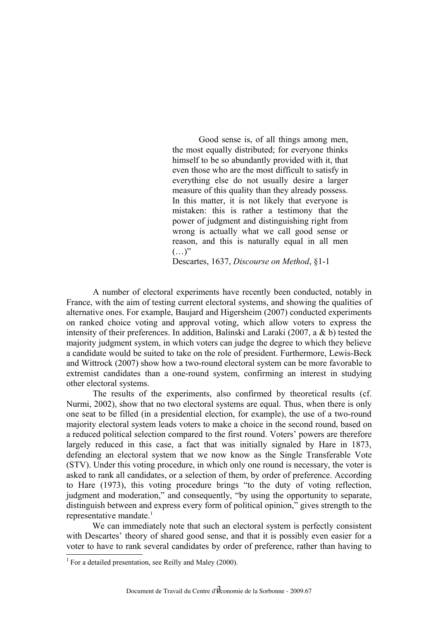Good sense is, of all things among men, the most equally distributed; for everyone thinks himself to be so abundantly provided with it, that even those who are the most difficult to satisfy in everything else do not usually desire a larger measure of this quality than they already possess. In this matter, it is not likely that everyone is mistaken: this is rather a testimony that the power of judgment and distinguishing right from wrong is actually what we call good sense or reason, and this is naturally equal in all men  $(\ldots)$ "

Descartes, 1637, *Discourse on Method*, §1-1

A number of electoral experiments have recently been conducted, notably in France, with the aim of testing current electoral systems, and showing the qualities of alternative ones. For example, Baujard and Higersheim (2007) conducted experiments on ranked choice voting and approval voting, which allow voters to express the intensity of their preferences. In addition, Balinski and Laraki (2007, a & b) tested the majority judgment system, in which voters can judge the degree to which they believe a candidate would be suited to take on the role of president. Furthermore, Lewis-Beck and Wittrock (2007) show how a two-round electoral system can be more favorable to extremist candidates than a one-round system, confirming an interest in studying other electoral systems.

The results of the experiments, also confirmed by theoretical results (cf. Nurmi, 2002), show that no two electoral systems are equal. Thus, when there is only one seat to be filled (in a presidential election, for example), the use of a two-round majority electoral system leads voters to make a choice in the second round, based on a reduced political selection compared to the first round. Voters' powers are therefore largely reduced in this case, a fact that was initially signaled by Hare in 1873, defending an electoral system that we now know as the Single Transferable Vote (STV). Under this voting procedure, in which only one round is necessary, the voter is asked to rank all candidates, or a selection of them, by order of preference. According to Hare (1973), this voting procedure brings "to the duty of voting reflection, judgment and moderation," and consequently, "by using the opportunity to separate, distinguish between and express every form of political opinion," gives strength to the representative mandate.<sup>[1](#page-3-0)</sup>

We can immediately note that such an electoral system is perfectly consistent with Descartes' theory of shared good sense, and that it is possibly even easier for a voter to have to rank several candidates by order of preference, rather than having to

<span id="page-3-0"></span><sup>&</sup>lt;sup>1</sup> For a detailed presentation, see Reilly and Maley (2000).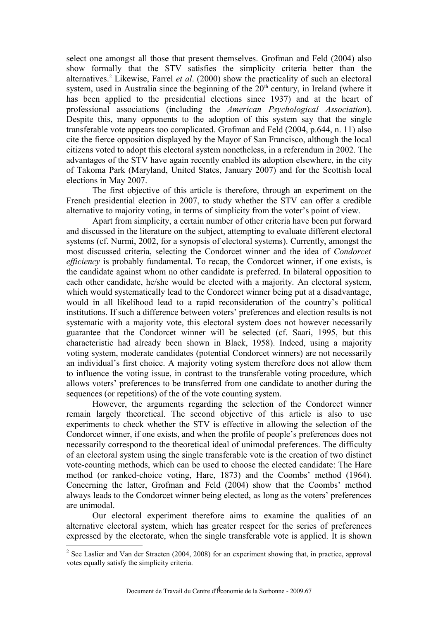select one amongst all those that present themselves. Grofman and Feld (2004) also show formally that the STV satisfies the simplicity criteria better than the alternatives.[2](#page-4-0) Likewise, Farrel *et al*. (2000) show the practicality of such an electoral system, used in Australia since the beginning of the  $20<sup>th</sup>$  century, in Ireland (where it has been applied to the presidential elections since 1937) and at the heart of professional associations (including the *American Psychological Association*). Despite this, many opponents to the adoption of this system say that the single transferable vote appears too complicated. Grofman and Feld (2004, p.644, n. 11) also cite the fierce opposition displayed by the Mayor of San Francisco, although the local citizens voted to adopt this electoral system nonetheless, in a referendum in 2002. The advantages of the STV have again recently enabled its adoption elsewhere, in the city of Takoma Park (Maryland, United States, January 2007) and for the Scottish local elections in May 2007.

The first objective of this article is therefore, through an experiment on the French presidential election in 2007, to study whether the STV can offer a credible alternative to majority voting, in terms of simplicity from the voter's point of view.

Apart from simplicity, a certain number of other criteria have been put forward and discussed in the literature on the subject, attempting to evaluate different electoral systems (cf. Nurmi, 2002, for a synopsis of electoral systems). Currently, amongst the most discussed criteria, selecting the Condorcet winner and the idea of *Condorcet efficiency* is probably fundamental. To recap, the Condorcet winner, if one exists, is the candidate against whom no other candidate is preferred. In bilateral opposition to each other candidate, he/she would be elected with a majority. An electoral system, which would systematically lead to the Condorcet winner being put at a disadvantage, would in all likelihood lead to a rapid reconsideration of the country's political institutions. If such a difference between voters' preferences and election results is not systematic with a majority vote, this electoral system does not however necessarily guarantee that the Condorcet winner will be selected (cf. Saari, 1995, but this characteristic had already been shown in Black, 1958). Indeed, using a majority voting system, moderate candidates (potential Condorcet winners) are not necessarily an individual's first choice. A majority voting system therefore does not allow them to influence the voting issue, in contrast to the transferable voting procedure, which allows voters' preferences to be transferred from one candidate to another during the sequences (or repetitions) of the of the vote counting system.

However, the arguments regarding the selection of the Condorcet winner remain largely theoretical. The second objective of this article is also to use experiments to check whether the STV is effective in allowing the selection of the Condorcet winner, if one exists, and when the profile of people's preferences does not necessarily correspond to the theoretical ideal of unimodal preferences. The difficulty of an electoral system using the single transferable vote is the creation of two distinct vote-counting methods, which can be used to choose the elected candidate: The Hare method (or ranked-choice voting, Hare, 1873) and the Coombs' method (1964). Concerning the latter, Grofman and Feld (2004) show that the Coombs' method always leads to the Condorcet winner being elected, as long as the voters' preferences are unimodal.

Our electoral experiment therefore aims to examine the qualities of an alternative electoral system, which has greater respect for the series of preferences expressed by the electorate, when the single transferable vote is applied. It is shown

<span id="page-4-0"></span> $2^{2}$  See Laslier and Van der Straeten (2004, 2008) for an experiment showing that, in practice, approval votes equally satisfy the simplicity criteria.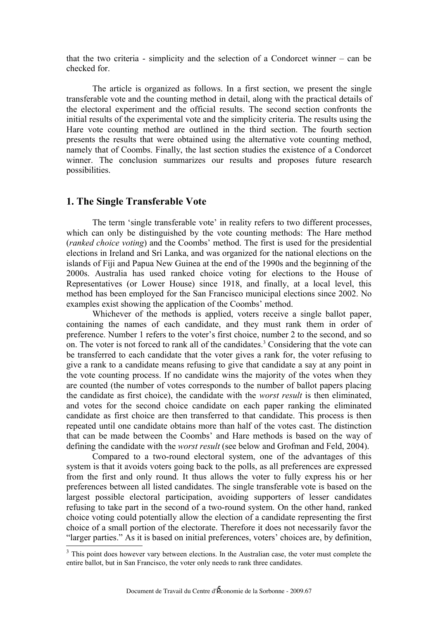that the two criteria - simplicity and the selection of a Condorcet winner – can be checked for.

The article is organized as follows. In a first section, we present the single transferable vote and the counting method in detail, along with the practical details of the electoral experiment and the official results. The second section confronts the initial results of the experimental vote and the simplicity criteria. The results using the Hare vote counting method are outlined in the third section. The fourth section presents the results that were obtained using the alternative vote counting method, namely that of Coombs. Finally, the last section studies the existence of a Condorcet winner. The conclusion summarizes our results and proposes future research possibilities.

### **1. The Single Transferable Vote**

The term 'single transferable vote' in reality refers to two different processes, which can only be distinguished by the vote counting methods: The Hare method (*ranked choice voting*) and the Coombs' method. The first is used for the presidential elections in Ireland and Sri Lanka, and was organized for the national elections on the islands of Fiji and Papua New Guinea at the end of the 1990s and the beginning of the 2000s. Australia has used ranked choice voting for elections to the House of Representatives (or Lower House) since 1918, and finally, at a local level, this method has been employed for the San Francisco municipal elections since 2002. No examples exist showing the application of the Coombs' method.

Whichever of the methods is applied, voters receive a single ballot paper, containing the names of each candidate, and they must rank them in order of preference. Number 1 refers to the voter's first choice, number 2 to the second, and so on. The voter is not forced to rank all of the candidates.<sup>[3](#page-5-0)</sup> Considering that the vote can be transferred to each candidate that the voter gives a rank for, the voter refusing to give a rank to a candidate means refusing to give that candidate a say at any point in the vote counting process. If no candidate wins the majority of the votes when they are counted (the number of votes corresponds to the number of ballot papers placing the candidate as first choice), the candidate with the *worst result* is then eliminated, and votes for the second choice candidate on each paper ranking the eliminated candidate as first choice are then transferred to that candidate. This process is then repeated until one candidate obtains more than half of the votes cast. The distinction that can be made between the Coombs' and Hare methods is based on the way of defining the candidate with the *worst result* (see below and Grofman and Feld, 2004).

Compared to a two-round electoral system, one of the advantages of this system is that it avoids voters going back to the polls, as all preferences are expressed from the first and only round. It thus allows the voter to fully express his or her preferences between all listed candidates. The single transferable vote is based on the largest possible electoral participation, avoiding supporters of lesser candidates refusing to take part in the second of a two-round system. On the other hand, ranked choice voting could potentially allow the election of a candidate representing the first choice of a small portion of the electorate. Therefore it does not necessarily favor the "larger parties." As it is based on initial preferences, voters' choices are, by definition,

<span id="page-5-0"></span><sup>&</sup>lt;sup>3</sup> This point does however vary between elections. In the Australian case, the voter must complete the entire ballot, but in San Francisco, the voter only needs to rank three candidates.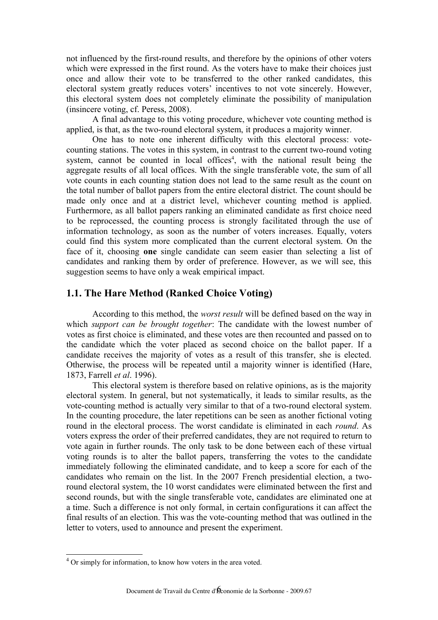not influenced by the first-round results, and therefore by the opinions of other voters which were expressed in the first round. As the voters have to make their choices just once and allow their vote to be transferred to the other ranked candidates, this electoral system greatly reduces voters' incentives to not vote sincerely. However, this electoral system does not completely eliminate the possibility of manipulation (insincere voting, cf. Peress, 2008).

A final advantage to this voting procedure, whichever vote counting method is applied, is that, as the two-round electoral system, it produces a majority winner.

One has to note one inherent difficulty with this electoral process: votecounting stations. The votes in this system, in contrast to the current two-round voting system, cannot be counted in local offices<sup>[4](#page-6-0)</sup>, with the national result being the aggregate results of all local offices. With the single transferable vote, the sum of all vote counts in each counting station does not lead to the same result as the count on the total number of ballot papers from the entire electoral district. The count should be made only once and at a district level, whichever counting method is applied. Furthermore, as all ballot papers ranking an eliminated candidate as first choice need to be reprocessed, the counting process is strongly facilitated through the use of information technology, as soon as the number of voters increases. Equally, voters could find this system more complicated than the current electoral system. On the face of it, choosing **one** single candidate can seem easier than selecting a list of candidates and ranking them by order of preference. However, as we will see, this suggestion seems to have only a weak empirical impact.

### **1.1. The Hare Method (Ranked Choice Voting)**

According to this method, the *worst result* will be defined based on the way in which *support can be brought together*: The candidate with the lowest number of votes as first choice is eliminated, and these votes are then recounted and passed on to the candidate which the voter placed as second choice on the ballot paper. If a candidate receives the majority of votes as a result of this transfer, she is elected. Otherwise, the process will be repeated until a majority winner is identified (Hare, 1873, Farrell *et al*. 1996).

This electoral system is therefore based on relative opinions, as is the majority electoral system. In general, but not systematically, it leads to similar results, as the vote-counting method is actually very similar to that of a two-round electoral system. In the counting procedure, the later repetitions can be seen as another fictional voting round in the electoral process. The worst candidate is eliminated in each *round*. As voters express the order of their preferred candidates, they are not required to return to vote again in further rounds. The only task to be done between each of these virtual voting rounds is to alter the ballot papers, transferring the votes to the candidate immediately following the eliminated candidate, and to keep a score for each of the candidates who remain on the list. In the 2007 French presidential election, a tworound electoral system, the 10 worst candidates were eliminated between the first and second rounds, but with the single transferable vote, candidates are eliminated one at a time. Such a difference is not only formal, in certain configurations it can affect the final results of an election. This was the vote-counting method that was outlined in the letter to voters, used to announce and present the experiment.

<span id="page-6-0"></span> $4$  Or simply for information, to know how voters in the area voted.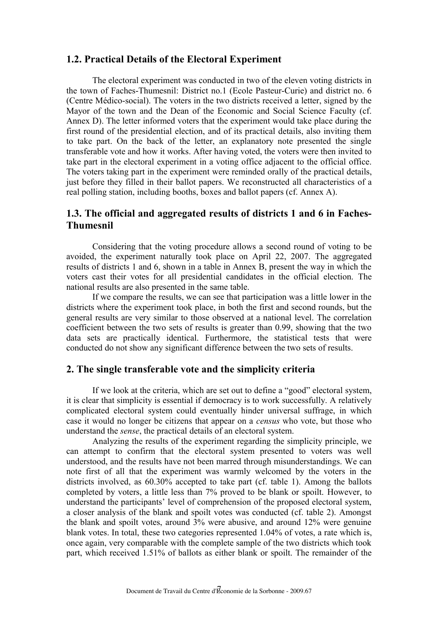### **1.2. Practical Details of the Electoral Experiment**

The electoral experiment was conducted in two of the eleven voting districts in the town of Faches-Thumesnil: District no.1 (Ecole Pasteur-Curie) and district no. 6 (Centre Médico-social). The voters in the two districts received a letter, signed by the Mayor of the town and the Dean of the Economic and Social Science Faculty (cf. Annex D). The letter informed voters that the experiment would take place during the first round of the presidential election, and of its practical details, also inviting them to take part. On the back of the letter, an explanatory note presented the single transferable vote and how it works. After having voted, the voters were then invited to take part in the electoral experiment in a voting office adjacent to the official office. The voters taking part in the experiment were reminded orally of the practical details, just before they filled in their ballot papers. We reconstructed all characteristics of a real polling station, including booths, boxes and ballot papers (cf. Annex A).

## **1.3. The official and aggregated results of districts 1 and 6 in Faches-Thumesnil**

Considering that the voting procedure allows a second round of voting to be avoided, the experiment naturally took place on April 22, 2007. The aggregated results of districts 1 and 6, shown in a table in Annex B, present the way in which the voters cast their votes for all presidential candidates in the official election. The national results are also presented in the same table.

If we compare the results, we can see that participation was a little lower in the districts where the experiment took place, in both the first and second rounds, but the general results are very similar to those observed at a national level. The correlation coefficient between the two sets of results is greater than 0.99, showing that the two data sets are practically identical. Furthermore, the statistical tests that were conducted do not show any significant difference between the two sets of results.

## **2. The single transferable vote and the simplicity criteria**

If we look at the criteria, which are set out to define a "good" electoral system, it is clear that simplicity is essential if democracy is to work successfully. A relatively complicated electoral system could eventually hinder universal suffrage, in which case it would no longer be citizens that appear on a *census* who vote, but those who understand the *sense*, the practical details of an electoral system.

Analyzing the results of the experiment regarding the simplicity principle, we can attempt to confirm that the electoral system presented to voters was well understood, and the results have not been marred through misunderstandings. We can note first of all that the experiment was warmly welcomed by the voters in the districts involved, as 60.30% accepted to take part (cf. table 1). Among the ballots completed by voters, a little less than 7% proved to be blank or spoilt. However, to understand the participants' level of comprehension of the proposed electoral system, a closer analysis of the blank and spoilt votes was conducted (cf. table 2). Amongst the blank and spoilt votes, around 3% were abusive, and around 12% were genuine blank votes. In total, these two categories represented 1.04% of votes, a rate which is, once again, very comparable with the complete sample of the two districts which took part, which received 1.51% of ballots as either blank or spoilt. The remainder of the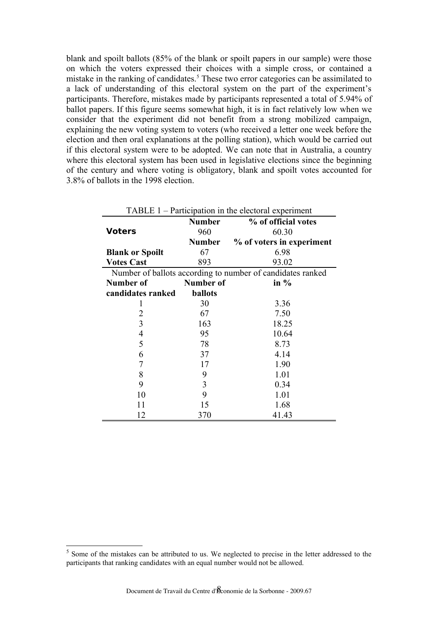blank and spoilt ballots (85% of the blank or spoilt papers in our sample) were those on which the voters expressed their choices with a simple cross, or contained a mistake in the ranking of candidates.<sup>[5](#page-8-0)</sup> These two error categories can be assimilated to a lack of understanding of this electoral system on the part of the experiment's participants. Therefore, mistakes made by participants represented a total of 5.94% of ballot papers. If this figure seems somewhat high, it is in fact relatively low when we consider that the experiment did not benefit from a strong mobilized campaign, explaining the new voting system to voters (who received a letter one week before the election and then oral explanations at the polling station), which would be carried out if this electoral system were to be adopted. We can note that in Australia, a country where this electoral system has been used in legislative elections since the beginning of the century and where voting is obligatory, blank and spoilt votes accounted for 3.8% of ballots in the 1998 election.

|                        |               | TABLE 1 – Participation in the electoral experiment        |
|------------------------|---------------|------------------------------------------------------------|
|                        | <b>Number</b> | % of official votes                                        |
| <b>Voters</b>          | 960           | 60.30                                                      |
|                        | <b>Number</b> | % of voters in experiment                                  |
| <b>Blank or Spoilt</b> | 67            | 6.98                                                       |
| <b>Votes Cast</b>      | 893           | 93.02                                                      |
|                        |               | Number of ballots according to number of candidates ranked |
| Number of              | Number of     | in $\%$                                                    |
| candidates ranked      | ballots       |                                                            |
| 1                      | 30            | 3.36                                                       |
| $\overline{2}$         | 67            | 7.50                                                       |
| 3                      | 163           | 18.25                                                      |
| 4                      | 95            | 10.64                                                      |
| 5                      | 78            | 8.73                                                       |
| 6                      | 37            | 4.14                                                       |
| 7                      | 17            | 1.90                                                       |
| 8                      | 9             | 1.01                                                       |
| 9                      | 3             | 0.34                                                       |
| 10                     | 9             | 1.01                                                       |
| 11                     | 15            | 1.68                                                       |
| 12                     | 370           | 41.43                                                      |

<span id="page-8-0"></span><sup>&</sup>lt;sup>5</sup> Some of the mistakes can be attributed to us. We neglected to precise in the letter addressed to the participants that ranking candidates with an equal number would not be allowed.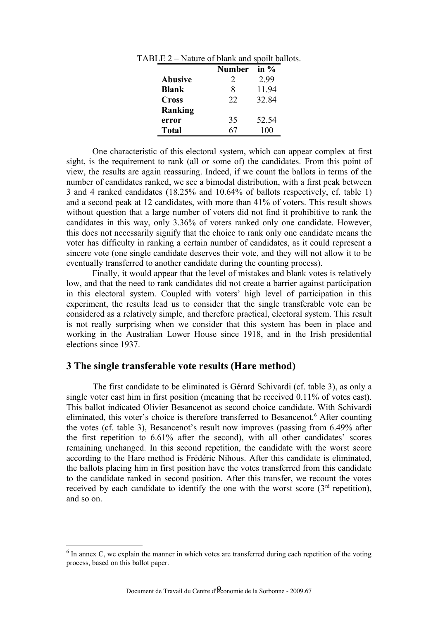|                | <b>Number</b>               | in $\%$ |
|----------------|-----------------------------|---------|
| <b>Abusive</b> | $\mathcal{D}_{\mathcal{L}}$ | 2.99    |
| <b>Blank</b>   | 8                           | 11.94   |
| <b>Cross</b>   | 22                          | 32.84   |
| Ranking        |                             |         |
| error          | 35                          | 52.54   |
| <b>Total</b>   |                             | 100     |

TABLE 2 – Nature of blank and spoilt ballots.

One characteristic of this electoral system, which can appear complex at first sight, is the requirement to rank (all or some of) the candidates. From this point of view, the results are again reassuring. Indeed, if we count the ballots in terms of the number of candidates ranked, we see a bimodal distribution, with a first peak between 3 and 4 ranked candidates (18.25% and 10.64% of ballots respectively, cf. table 1) and a second peak at 12 candidates, with more than 41% of voters. This result shows without question that a large number of voters did not find it prohibitive to rank the candidates in this way, only 3.36% of voters ranked only one candidate. However, this does not necessarily signify that the choice to rank only one candidate means the voter has difficulty in ranking a certain number of candidates, as it could represent a sincere vote (one single candidate deserves their vote, and they will not allow it to be eventually transferred to another candidate during the counting process).

Finally, it would appear that the level of mistakes and blank votes is relatively low, and that the need to rank candidates did not create a barrier against participation in this electoral system. Coupled with voters' high level of participation in this experiment, the results lead us to consider that the single transferable vote can be considered as a relatively simple, and therefore practical, electoral system. This result is not really surprising when we consider that this system has been in place and working in the Australian Lower House since 1918, and in the Irish presidential elections since 1937.

## **3 The single transferable vote results (Hare method)**

The first candidate to be eliminated is Gérard Schivardi (cf. table 3), as only a single voter cast him in first position (meaning that he received 0.11% of votes cast). This ballot indicated Olivier Besancenot as second choice candidate. With Schivardi eliminated, this voter's choice is therefore transferred to Besancenot.<sup>[6](#page-9-0)</sup> After counting the votes (cf. table 3), Besancenot's result now improves (passing from 6.49% after the first repetition to 6.61% after the second), with all other candidates' scores remaining unchanged. In this second repetition, the candidate with the worst score according to the Hare method is Frédéric Nihous. After this candidate is eliminated, the ballots placing him in first position have the votes transferred from this candidate to the candidate ranked in second position. After this transfer, we recount the votes received by each candidate to identify the one with the worst score  $(3<sup>rd</sup>$  repetition), and so on.

<span id="page-9-0"></span> $<sup>6</sup>$  In annex C, we explain the manner in which votes are transferred during each repetition of the voting</sup> process, based on this ballot paper.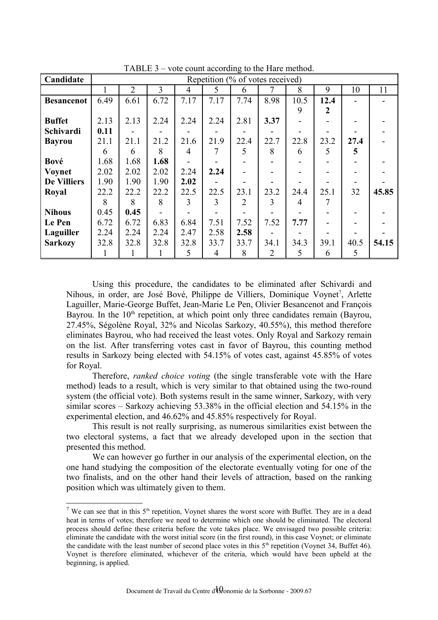| Candidate          |      |                |      |      |                | Repetition (% of votes received) |      |      |                |      |       |
|--------------------|------|----------------|------|------|----------------|----------------------------------|------|------|----------------|------|-------|
|                    |      | $\overline{2}$ | 3    | 4    | 5              | 6                                | 7    | 8    | 9              | 10   | 11    |
| <b>Besancenot</b>  | 6.49 | 6.61           | 6.72 | 7.17 | 7.17           | 7.74                             | 8.98 | 10.5 | 12.4           |      |       |
|                    |      |                |      |      |                |                                  |      | 9    | $\overline{2}$ |      |       |
| <b>Buffet</b>      | 2.13 | 2.13           | 2.24 | 2.24 | 2.24           | 2.81                             | 3.37 |      |                |      |       |
| Schivardi          | 0.11 |                |      |      |                |                                  |      |      |                |      |       |
| <b>Bayrou</b>      | 21.1 | 21.1           | 21.2 | 21.6 | 21.9           | 22.4                             | 22.7 | 22.8 | 23.2           | 27.4 |       |
|                    | 6    | 6              | 8    | 4    |                | 5                                | 8    | 6    | 5              | 5    |       |
| Bové               | 1.68 | 1.68           | 1.68 |      |                |                                  |      |      |                |      |       |
| <b>Voynet</b>      | 2.02 | 2.02           | 2.02 | 2.24 | 2.24           |                                  |      |      |                |      |       |
| <b>De Villiers</b> | 1.90 | 1.90           | 1.90 | 2.02 |                |                                  |      |      |                |      |       |
| Royal              | 22.2 | 22.2           | 22.2 | 22.5 | 22.5           | 23.1                             | 23.2 | 24.4 | 25.1           | 32   | 45.85 |
|                    | 8    | 8              | 8    | 3    | 3              | $\overline{2}$                   | 3    | 4    | 7              |      |       |
| <b>Nihous</b>      | 0.45 | 0.45           |      |      |                |                                  |      |      |                |      |       |
| Le Pen             | 6.72 | 6.72           | 6.83 | 6.84 | 7.51           | 7.52                             | 7.52 | 7.77 |                |      |       |
| Laguiller          | 2.24 | 2.24           | 2.24 | 2.47 | 2.58           | 2.58                             |      |      |                |      |       |
| <b>Sarkozy</b>     | 32.8 | 32.8           | 32.8 | 32.8 | 33.7           | 33.7                             | 34.1 | 34.3 | 39.1           | 40.5 | 54.15 |
|                    |      |                |      | 5    | $\overline{4}$ | 8                                | 2    | 5    | 6              | 5    |       |

TABLE 3 – vote count according to the Hare method.

Using this procedure, the candidates to be eliminated after Schivardi and Nihous, in order, are José Bové, Philippe de Villiers, Dominique Voynet<sup>[7](#page-10-0)</sup>, Arlette Laguiller, Marie-George Buffet, Jean-Marie Le Pen, Olivier Besancenot and François Bayrou. In the  $10<sup>th</sup>$  repetition, at which point only three candidates remain (Bayrou, 27.45%, Ségolène Royal, 32% and Nicolas Sarkozy, 40.55%), this method therefore eliminates Bayrou, who had received the least votes. Only Royal and Sarkozy remain on the list. After transferring votes cast in favor of Bayrou, this counting method results in Sarkozy being elected with 54.15% of votes cast, against 45.85% of votes for Royal.

Therefore, *ranked choice voting* (the single transferable vote with the Hare method) leads to a result, which is very similar to that obtained using the two-round system (the official vote). Both systems result in the same winner, Sarkozy, with very similar scores – Sarkozy achieving 53.38% in the official election and 54.15% in the experimental election, and 46.62% and 45.85% respectively for Royal.

This result is not really surprising, as numerous similarities exist between the two electoral systems, a fact that we already developed upon in the section that presented this method.

We can however go further in our analysis of the experimental election, on the one hand studying the composition of the electorate eventually voting for one of the two finalists, and on the other hand their levels of attraction, based on the ranking position which was ultimately given to them.

<span id="page-10-0"></span><sup>&</sup>lt;sup>7</sup> We can see that in this  $5<sup>th</sup>$  repetition, Voynet shares the worst score with Buffet. They are in a dead heat in terms of votes; therefore we need to determine which one should be eliminated. The electoral process should define these criteria before the vote takes place. We envisaged two possible criteria: eliminate the candidate with the worst initial score (in the first round), in this case Voynet; or eliminate the candidate with the least number of second place votes in this 5<sup>th</sup> repetition (Voynet 34, Buffet 46). Voynet is therefore eliminated, whichever of the criteria, which would have been upheld at the beginning, is applied.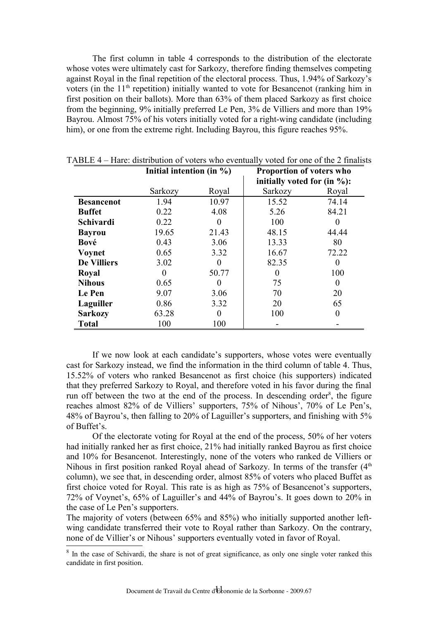The first column in table 4 corresponds to the distribution of the electorate whose votes were ultimately cast for Sarkozy, therefore finding themselves competing against Royal in the final repetition of the electoral process. Thus, 1.94% of Sarkozy's voters (in the 11<sup>th</sup> repetition) initially wanted to vote for Besancenot (ranking him in first position on their ballots). More than 63% of them placed Sarkozy as first choice from the beginning, 9% initially preferred Le Pen, 3% de Villiers and more than 19% Bayrou. Almost 75% of his voters initially voted for a right-wing candidate (including him), or one from the extreme right. Including Bayrou, this figure reaches 95%.

|                    | Initial intention (in $\%$ ) |        | <b>Proportion of voters who</b><br>initially voted for (in %): |       |
|--------------------|------------------------------|--------|----------------------------------------------------------------|-------|
|                    | Sarkozy                      | Royal  | Sarkozy                                                        | Royal |
| <b>Besancenot</b>  | 1.94                         | 10.97  | 15.52                                                          | 74.14 |
| <b>Buffet</b>      | 0.22                         | 4.08   | 5.26                                                           | 84.21 |
| Schivardi          | 0.22                         |        | 100                                                            |       |
| <b>Bayrou</b>      | 19.65                        | 21.43  | 48.15                                                          | 44.44 |
| Bové               | 0.43                         | 3.06   | 13.33                                                          | 80    |
| <b>Voynet</b>      | 0.65                         | 3.32   | 16.67                                                          | 72.22 |
| <b>De Villiers</b> | 3.02                         |        | 82.35                                                          |       |
| Royal              |                              | 50.77  | 0                                                              | 100   |
| <b>Nihous</b>      | 0.65                         | $_{0}$ | 75                                                             |       |
| Le Pen             | 9.07                         | 3.06   | 70                                                             | 20    |
| Laguiller          | 0.86                         | 3.32   | 20                                                             | 65    |
| <b>Sarkozy</b>     | 63.28                        | 0      | 100                                                            |       |
| <b>Total</b>       | 100                          | 100    |                                                                |       |

| TABLE 4 – Hare: distribution of voters who eventually voted for one of the 2 finalists |  |  |  |  |
|----------------------------------------------------------------------------------------|--|--|--|--|
|----------------------------------------------------------------------------------------|--|--|--|--|

If we now look at each candidate's supporters, whose votes were eventually cast for Sarkozy instead, we find the information in the third column of table 4. Thus, 15.52% of voters who ranked Besancenot as first choice (his supporters) indicated that they preferred Sarkozy to Royal, and therefore voted in his favor during the final run off between the two at the end of the process. In descending order<sup>[8](#page-11-0)</sup>, the figure reaches almost 82% of de Villiers' supporters, 75% of Nihous', 70% of Le Pen's, 48% of Bayrou's, then falling to 20% of Laguiller's supporters, and finishing with 5% of Buffet's.

Of the electorate voting for Royal at the end of the process, 50% of her voters had initially ranked her as first choice, 21% had initially ranked Bayrou as first choice and 10% for Besancenot. Interestingly, none of the voters who ranked de Villiers or Nihous in first position ranked Royal ahead of Sarkozy. In terms of the transfer  $(4<sup>th</sup>$ column), we see that, in descending order, almost 85% of voters who placed Buffet as first choice voted for Royal. This rate is as high as 75% of Besancenot's supporters, 72% of Voynet's, 65% of Laguiller's and 44% of Bayrou's. It goes down to 20% in the case of Le Pen's supporters.

The majority of voters (between 65% and 85%) who initially supported another leftwing candidate transferred their vote to Royal rather than Sarkozy. On the contrary, none of de Villier's or Nihous' supporters eventually voted in favor of Royal.

<span id="page-11-0"></span><sup>&</sup>lt;sup>8</sup> In the case of Schivardi, the share is not of great significance, as only one single voter ranked this candidate in first position.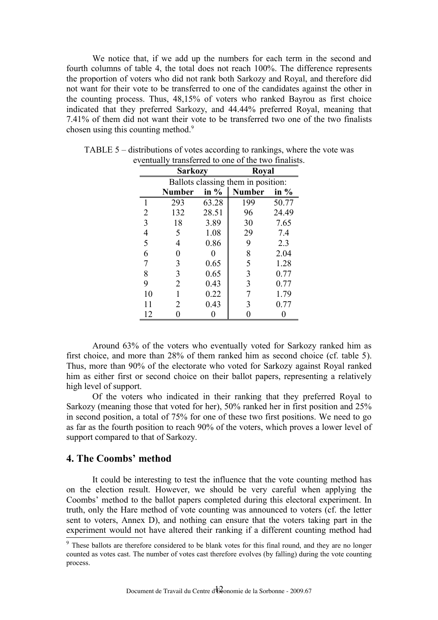We notice that, if we add up the numbers for each term in the second and fourth columns of table 4, the total does not reach 100%. The difference represents the proportion of voters who did not rank both Sarkozy and Royal, and therefore did not want for their vote to be transferred to one of the candidates against the other in the counting process. Thus, 48,15% of voters who ranked Bayrou as first choice indicated that they preferred Sarkozy, and 44.44% preferred Royal, meaning that 7.41% of them did not want their vote to be transferred two one of the two finalists chosen using this counting method.<sup>[9](#page-12-0)</sup>

|                | <b>Sarkozy</b> |        | Royal                              |        |
|----------------|----------------|--------|------------------------------------|--------|
|                |                |        | Ballots classing them in position: |        |
|                | <b>Number</b>  | in $%$ | <b>Number</b>                      | in $%$ |
| 1              | 293            | 63.28  | 199                                | 50.77  |
| $\overline{2}$ | 132            | 28.51  | 96                                 | 24.49  |
| 3              | 18             | 3.89   | 30                                 | 7.65   |
| $\overline{4}$ | 5              | 1.08   | 29                                 | 7.4    |
| 5              | 4              | 0.86   | 9                                  | 2.3    |
| 6              | 0              | 0      | 8                                  | 2.04   |
| $\overline{7}$ | 3              | 0.65   | 5                                  | 1.28   |
| 8              | 3              | 0.65   | 3                                  | 0.77   |
| 9              | $\overline{2}$ | 0.43   | 3                                  | 0.77   |
| 10             | 1              | 0.22   | 7                                  | 1.79   |
| 11             | 2              | 0.43   | 3                                  | 0.77   |
| 12             |                |        |                                    |        |

TABLE 5 – distributions of votes according to rankings, where the vote was eventually transferred to one of the two finalists.

Around 63% of the voters who eventually voted for Sarkozy ranked him as first choice, and more than 28% of them ranked him as second choice (cf. table 5). Thus, more than 90% of the electorate who voted for Sarkozy against Royal ranked him as either first or second choice on their ballot papers, representing a relatively high level of support.

Of the voters who indicated in their ranking that they preferred Royal to Sarkozy (meaning those that voted for her), 50% ranked her in first position and 25% in second position, a total of 75% for one of these two first positions. We need to go as far as the fourth position to reach 90% of the voters, which proves a lower level of support compared to that of Sarkozy.

### **4. The Coombs' method**

It could be interesting to test the influence that the vote counting method has on the election result. However, we should be very careful when applying the Coombs' method to the ballot papers completed during this electoral experiment. In truth, only the Hare method of vote counting was announced to voters (cf. the letter sent to voters, Annex D), and nothing can ensure that the voters taking part in the experiment would not have altered their ranking if a different counting method had

<span id="page-12-0"></span><sup>9</sup> These ballots are therefore considered to be blank votes for this final round, and they are no longer counted as votes cast. The number of votes cast therefore evolves (by falling) during the vote counting process.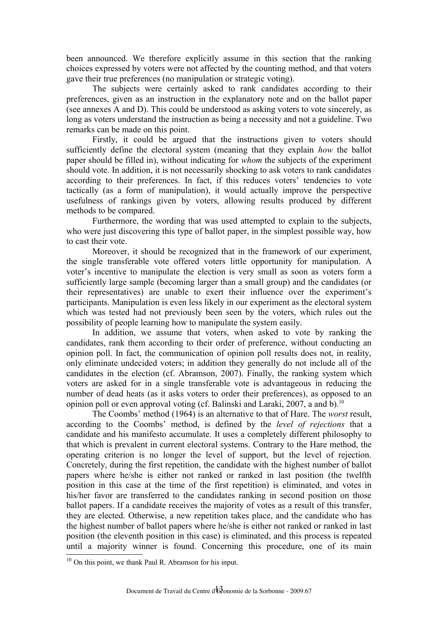been announced. We therefore explicitly assume in this section that the ranking choices expressed by voters were not affected by the counting method, and that voters gave their true preferences (no manipulation or strategic voting).

The subjects were certainly asked to rank candidates according to their preferences, given as an instruction in the explanatory note and on the ballot paper (see annexes A and D). This could be understood as asking voters to vote sincerely, as long as voters understand the instruction as being a necessity and not a guideline. Two remarks can be made on this point.

Firstly, it could be argued that the instructions given to voters should sufficiently define the electoral system (meaning that they explain *how* the ballot paper should be filled in), without indicating for *whom* the subjects of the experiment should vote. In addition, it is not necessarily shocking to ask voters to rank candidates according to their preferences. In fact, if this reduces voters' tendencies to vote tactically (as a form of manipulation), it would actually improve the perspective usefulness of rankings given by voters, allowing results produced by different methods to be compared.

Furthermore, the wording that was used attempted to explain to the subjects, who were just discovering this type of ballot paper, in the simplest possible way, how to cast their vote.

Moreover, it should be recognized that in the framework of our experiment, the single transferable vote offered voters little opportunity for manipulation. A voter's incentive to manipulate the election is very small as soon as voters form a sufficiently large sample (becoming larger than a small group) and the candidates (or their representatives) are unable to exert their influence over the experiment's participants. Manipulation is even less likely in our experiment as the electoral system which was tested had not previously been seen by the voters, which rules out the possibility of people learning how to manipulate the system easily.

In addition, we assume that voters, when asked to vote by ranking the candidates, rank them according to their order of preference, without conducting an opinion poll. In fact, the communication of opinion poll results does not, in reality, only eliminate undecided voters; in addition they generally do not include all of the candidates in the election (cf. Abramson, 2007). Finally, the ranking system which voters are asked for in a single transferable vote is advantageous in reducing the number of dead heats (as it asks voters to order their preferences), as opposed to an opinion poll or even approval voting (cf. Balinski and Laraki, 2007, a and b).[10](#page-13-0)

The Coombs' method (1964) is an alternative to that of Hare. The *worst* result, according to the Coombs' method, is defined by the *level of rejections* that a candidate and his manifesto accumulate. It uses a completely different philosophy to that which is prevalent in current electoral systems. Contrary to the Hare method, the operating criterion is no longer the level of support, but the level of rejection. Concretely, during the first repetition, the candidate with the highest number of ballot papers where he/she is either not ranked or ranked in last position (the twelfth position in this case at the time of the first repetition) is eliminated, and votes in his/her favor are transferred to the candidates ranking in second position on those ballot papers. If a candidate receives the majority of votes as a result of this transfer, they are elected. Otherwise, a new repetition takes place, and the candidate who has the highest number of ballot papers where he/she is either not ranked or ranked in last position (the eleventh position in this case) is eliminated, and this process is repeated until a majority winner is found. Concerning this procedure, one of its main

<span id="page-13-0"></span> $10$  On this point, we thank Paul R. Abramson for his input.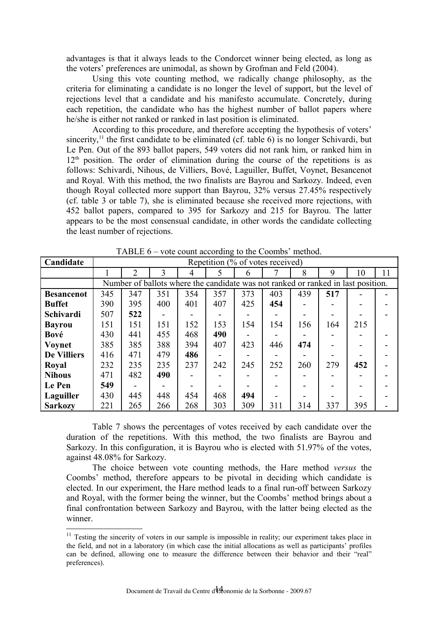advantages is that it always leads to the Condorcet winner being elected, as long as the voters' preferences are unimodal, as shown by Grofman and Feld (2004).

Using this vote counting method, we radically change philosophy, as the criteria for eliminating a candidate is no longer the level of support, but the level of rejections level that a candidate and his manifesto accumulate. Concretely, during each repetition, the candidate who has the highest number of ballot papers where he/she is either not ranked or ranked in last position is eliminated.

According to this procedure, and therefore accepting the hypothesis of voters' sincerity, $<sup>11</sup>$  $<sup>11</sup>$  $<sup>11</sup>$  the first candidate to be eliminated (cf. table 6) is no longer Schivardi, but</sup> Le Pen. Out of the 893 ballot papers, 549 voters did not rank him, or ranked him in  $12<sup>th</sup>$  position. The order of elimination during the course of the repetitions is as follows: Schivardi, Nihous, de Villiers, Bové, Laguiller, Buffet, Voynet, Besancenot and Royal. With this method, the two finalists are Bayrou and Sarkozy. Indeed, even though Royal collected more support than Bayrou, 32% versus 27.45% respectively (cf. table 3 or table 7), she is eliminated because she received more rejections, with 452 ballot papers, compared to 395 for Sarkozy and 215 for Bayrou. The latter appears to be the most consensual candidate, in other words the candidate collecting the least number of rejections.

| Candidate          |     |                                                                                  |     |     |     | Repetition (% of votes received) |     |     |     |     |    |
|--------------------|-----|----------------------------------------------------------------------------------|-----|-----|-----|----------------------------------|-----|-----|-----|-----|----|
|                    |     | $\overline{2}$                                                                   | 3   | 4   | 5   | 6                                |     | 8   | 9   | 10  | 11 |
|                    |     | Number of ballots where the candidate was not ranked or ranked in last position. |     |     |     |                                  |     |     |     |     |    |
| <b>Besancenot</b>  | 345 | 347                                                                              | 351 | 354 | 357 | 373                              | 403 | 439 | 517 |     |    |
| <b>Buffet</b>      | 390 | 395                                                                              | 400 | 401 | 407 | 425                              | 454 |     |     |     |    |
| <b>Schivardi</b>   | 507 | 522                                                                              |     |     |     |                                  |     |     |     |     |    |
| <b>Bayrou</b>      | 151 | 151                                                                              | 151 | 152 | 153 | 154                              | 154 | 156 | 164 | 215 |    |
| Bové               | 430 | 441                                                                              | 455 | 468 | 490 |                                  |     |     |     |     |    |
| <b>Voynet</b>      | 385 | 385                                                                              | 388 | 394 | 407 | 423                              | 446 | 474 |     |     |    |
| <b>De Villiers</b> | 416 | 471                                                                              | 479 | 486 |     |                                  |     |     |     |     |    |
| Royal              | 232 | 235                                                                              | 235 | 237 | 242 | 245                              | 252 | 260 | 279 | 452 |    |
| <b>Nihous</b>      | 471 | 482                                                                              | 490 |     |     |                                  |     |     |     |     |    |
| Le Pen             | 549 |                                                                                  |     |     |     |                                  |     |     |     |     |    |
| Laguiller          | 430 | 445                                                                              | 448 | 454 | 468 | 494                              |     |     |     |     |    |
| <b>Sarkozy</b>     | 221 | 265                                                                              | 266 | 268 | 303 | 309                              | 311 | 314 | 337 | 395 |    |

TABLE 6 – vote count according to the Coombs' method.

Table 7 shows the percentages of votes received by each candidate over the duration of the repetitions. With this method, the two finalists are Bayrou and Sarkozy. In this configuration, it is Bayrou who is elected with 51.97% of the votes, against 48.08% for Sarkozy.

The choice between vote counting methods, the Hare method *versus* the Coombs' method, therefore appears to be pivotal in deciding which candidate is elected. In our experiment, the Hare method leads to a final run-off between Sarkozy and Royal, with the former being the winner, but the Coombs' method brings about a final confrontation between Sarkozy and Bayrou, with the latter being elected as the winner.

<span id="page-14-0"></span> $11$  Testing the sincerity of voters in our sample is impossible in reality; our experiment takes place in the field, and not in a laboratory (in which case the initial allocations as well as participants' profiles can be defined, allowing one to measure the difference between their behavior and their "real" preferences).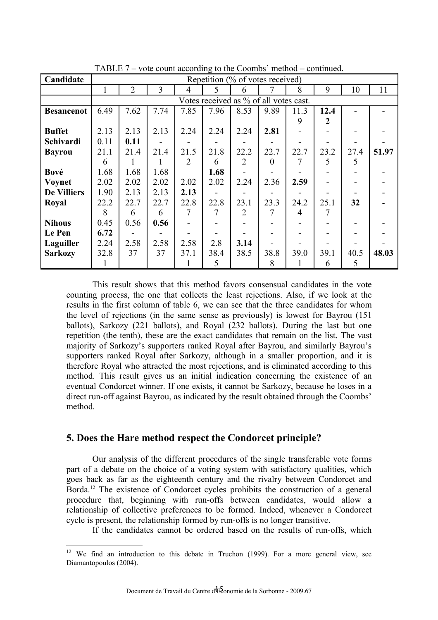| Candidate          |      |                |      |      | Repetition (% of votes received)       |                |                |      |                  |      |       |
|--------------------|------|----------------|------|------|----------------------------------------|----------------|----------------|------|------------------|------|-------|
|                    |      | $\overline{2}$ | 3    | 4    | 5                                      | 6              |                | 8    | 9                | 10   | 11    |
|                    |      |                |      |      | Votes received as % of all votes cast. |                |                |      |                  |      |       |
| <b>Besancenot</b>  | 6.49 | 7.62           | 7.74 | 7.85 | 7.96                                   | 8.53           | 9.89           | 11.3 | 12.4             |      |       |
|                    |      |                |      |      |                                        |                |                | 9    | $\boldsymbol{2}$ |      |       |
| <b>Buffet</b>      | 2.13 | 2.13           | 2.13 | 2.24 | 2.24                                   | 2.24           | 2.81           |      |                  |      |       |
| Schivardi          | 0.11 | 0.11           |      |      |                                        |                |                |      |                  |      |       |
| <b>Bayrou</b>      | 21.1 | 21.4           | 21.4 | 21.5 | 21.8                                   | 22.2           | 22.7           | 22.7 | 23.2             | 27.4 | 51.97 |
|                    | 6    |                |      | 2    | 6                                      | 2              | $\overline{0}$ | 7    | 5                | 5    |       |
| Bové               | 1.68 | 1.68           | 1.68 |      | 1.68                                   |                |                |      |                  |      |       |
| <b>Voynet</b>      | 2.02 | 2.02           | 2.02 | 2.02 | 2.02                                   | 2.24           | 2.36           | 2.59 |                  |      |       |
| <b>De Villiers</b> | 1.90 | 2.13           | 2.13 | 2.13 |                                        |                |                |      |                  |      |       |
| Royal              | 22.2 | 22.7           | 22.7 | 22.8 | 22.8                                   | 23.1           | 23.3           | 24.2 | 25.1             | 32   |       |
|                    | 8    | 6              | 6    |      |                                        | $\overline{2}$ | 7              | 4    | 7                |      |       |
| <b>Nihous</b>      | 0.45 | 0.56           | 0.56 |      |                                        |                |                |      |                  |      |       |
| <b>Le Pen</b>      | 6.72 |                |      |      |                                        |                |                |      |                  |      |       |
| Laguiller          | 2.24 | 2.58           | 2.58 | 2.58 | 2.8                                    | 3.14           |                |      |                  |      |       |
| <b>Sarkozy</b>     | 32.8 | 37             | 37   | 37.1 | 38.4                                   | 38.5           | 38.8           | 39.0 | 39.1             | 40.5 | 48.03 |
|                    |      |                |      |      | 5                                      |                | 8              |      | 6                | 5    |       |

TABLE 7 – vote count according to the Coombs' method – continued.

This result shows that this method favors consensual candidates in the vote counting process, the one that collects the least rejections. Also, if we look at the results in the first column of table 6, we can see that the three candidates for whom the level of rejections (in the same sense as previously) is lowest for Bayrou (151 ballots), Sarkozy (221 ballots), and Royal (232 ballots). During the last but one repetition (the tenth), these are the exact candidates that remain on the list. The vast majority of Sarkozy's supporters ranked Royal after Bayrou, and similarly Bayrou's supporters ranked Royal after Sarkozy, although in a smaller proportion, and it is therefore Royal who attracted the most rejections, and is eliminated according to this method. This result gives us an initial indication concerning the existence of an eventual Condorcet winner. If one exists, it cannot be Sarkozy, because he loses in a direct run-off against Bayrou, as indicated by the result obtained through the Coombs' method.

#### **5. Does the Hare method respect the Condorcet principle?**

Our analysis of the different procedures of the single transferable vote forms part of a debate on the choice of a voting system with satisfactory qualities, which goes back as far as the eighteenth century and the rivalry between Condorcet and Borda.<sup>[12](#page-15-0)</sup> The existence of Condorcet cycles prohibits the construction of a general procedure that, beginning with run-offs between candidates, would allow a relationship of collective preferences to be formed. Indeed, whenever a Condorcet cycle is present, the relationship formed by run-offs is no longer transitive.

If the candidates cannot be ordered based on the results of run-offs, which

<span id="page-15-0"></span><sup>&</sup>lt;sup>12</sup> We find an introduction to this debate in Truchon (1999). For a more general view, see Diamantopoulos (2004).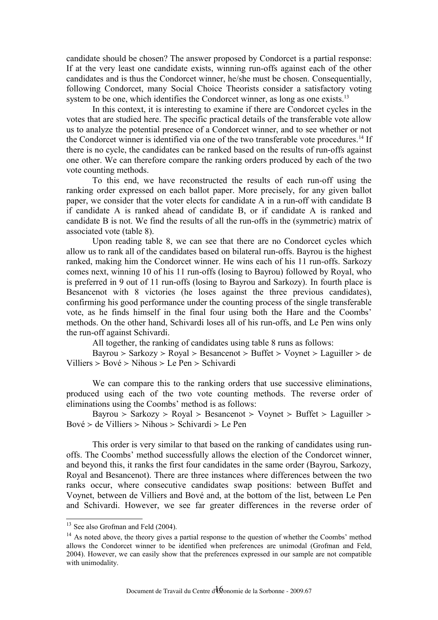candidate should be chosen? The answer proposed by Condorcet is a partial response: If at the very least one candidate exists, winning run-offs against each of the other candidates and is thus the Condorcet winner, he/she must be chosen. Consequentially, following Condorcet, many Social Choice Theorists consider a satisfactory voting system to be one, which identifies the Condorcet winner, as long as one exists.<sup>[13](#page-16-0)</sup>

In this context, it is interesting to examine if there are Condorcet cycles in the votes that are studied here. The specific practical details of the transferable vote allow us to analyze the potential presence of a Condorcet winner, and to see whether or not the Condorcet winner is identified via one of the two transferable vote procedures.<sup>[14](#page-16-1)</sup> If there is no cycle, the candidates can be ranked based on the results of run-offs against one other. We can therefore compare the ranking orders produced by each of the two vote counting methods.

To this end, we have reconstructed the results of each run-off using the ranking order expressed on each ballot paper. More precisely, for any given ballot paper, we consider that the voter elects for candidate A in a run-off with candidate B if candidate A is ranked ahead of candidate B, or if candidate A is ranked and candidate B is not. We find the results of all the run-offs in the (symmetric) matrix of associated vote (table 8).

Upon reading table 8, we can see that there are no Condorcet cycles which allow us to rank all of the candidates based on bilateral run-offs. Bayrou is the highest ranked, making him the Condorcet winner. He wins each of his 11 run-offs. Sarkozy comes next, winning 10 of his 11 run-offs (losing to Bayrou) followed by Royal, who is preferred in 9 out of 11 run-offs (losing to Bayrou and Sarkozy). In fourth place is Besancenot with 8 victories (he loses against the three previous candidates), confirming his good performance under the counting process of the single transferable vote, as he finds himself in the final four using both the Hare and the Coombs' methods. On the other hand, Schivardi loses all of his run-offs, and Le Pen wins only the run-off against Schivardi.

All together, the ranking of candidates using table 8 runs as follows:

Bayrou ≻ Sarkozy ≻ Royal ≻ Besancenot ≻ Buffet ≻ Voynet ≻ Laguiller ≻ de Villiers ≻ Bové ≻ Nihous ≻ Le Pen ≻ Schivardi

We can compare this to the ranking orders that use successive eliminations, produced using each of the two vote counting methods. The reverse order of eliminations using the Coombs' method is as follows:

Bayrou ≻ Sarkozy ≻ Royal ≻ Besancenot ≻ Voynet ≻ Buffet ≻ Laguiller ≻ Bové ≻ de Villiers ≻ Nihous ≻ Schivardi ≻ Le Pen

This order is very similar to that based on the ranking of candidates using runoffs. The Coombs' method successfully allows the election of the Condorcet winner, and beyond this, it ranks the first four candidates in the same order (Bayrou, Sarkozy, Royal and Besancenot). There are three instances where differences between the two ranks occur, where consecutive candidates swap positions: between Buffet and Voynet, between de Villiers and Bové and, at the bottom of the list, between Le Pen and Schivardi. However, we see far greater differences in the reverse order of

<span id="page-16-0"></span><sup>&</sup>lt;sup>13</sup> See also Grofman and Feld (2004).

<span id="page-16-1"></span><sup>&</sup>lt;sup>14</sup> As noted above, the theory gives a partial response to the question of whether the Coombs' method allows the Condorcet winner to be identified when preferences are unimodal (Grofman and Feld, 2004). However, we can easily show that the preferences expressed in our sample are not compatible with unimodality.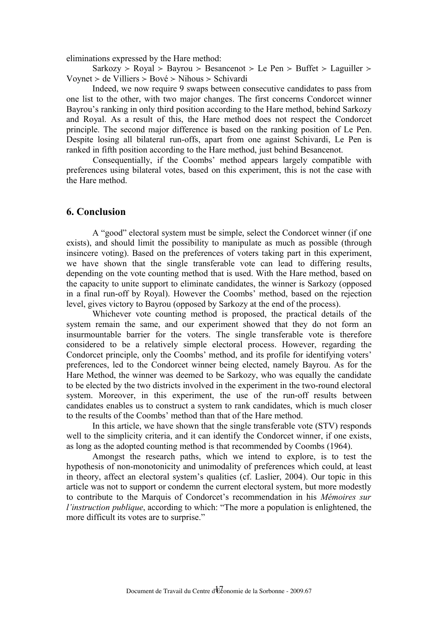eliminations expressed by the Hare method:

Sarkozy ≻ Royal ≻ Bayrou ≻ Besancenot ≻ Le Pen ≻ Buffet ≻ Laguiller ≻ Voynet ≻ de Villiers ≻ Bové ≻ Nihous ≻ Schivardi

Indeed, we now require 9 swaps between consecutive candidates to pass from one list to the other, with two major changes. The first concerns Condorcet winner Bayrou's ranking in only third position according to the Hare method, behind Sarkozy and Royal. As a result of this, the Hare method does not respect the Condorcet principle. The second major difference is based on the ranking position of Le Pen. Despite losing all bilateral run-offs, apart from one against Schivardi, Le Pen is ranked in fifth position according to the Hare method, just behind Besancenot.

Consequentially, if the Coombs' method appears largely compatible with preferences using bilateral votes, based on this experiment, this is not the case with the Hare method.

#### **6. Conclusion**

A "good" electoral system must be simple, select the Condorcet winner (if one exists), and should limit the possibility to manipulate as much as possible (through insincere voting). Based on the preferences of voters taking part in this experiment, we have shown that the single transferable vote can lead to differing results, depending on the vote counting method that is used. With the Hare method, based on the capacity to unite support to eliminate candidates, the winner is Sarkozy (opposed in a final run-off by Royal). However the Coombs' method, based on the rejection level, gives victory to Bayrou (opposed by Sarkozy at the end of the process).

Whichever vote counting method is proposed, the practical details of the system remain the same, and our experiment showed that they do not form an insurmountable barrier for the voters. The single transferable vote is therefore considered to be a relatively simple electoral process. However, regarding the Condorcet principle, only the Coombs' method, and its profile for identifying voters' preferences, led to the Condorcet winner being elected, namely Bayrou. As for the Hare Method, the winner was deemed to be Sarkozy, who was equally the candidate to be elected by the two districts involved in the experiment in the two-round electoral system. Moreover, in this experiment, the use of the run-off results between candidates enables us to construct a system to rank candidates, which is much closer to the results of the Coombs' method than that of the Hare method.

In this article, we have shown that the single transferable vote (STV) responds well to the simplicity criteria, and it can identify the Condorcet winner, if one exists, as long as the adopted counting method is that recommended by Coombs (1964).

Amongst the research paths, which we intend to explore, is to test the hypothesis of non-monotonicity and unimodality of preferences which could, at least in theory, affect an electoral system's qualities (cf. Laslier, 2004). Our topic in this article was not to support or condemn the current electoral system, but more modestly to contribute to the Marquis of Condorcet's recommendation in his *Mémoires sur l'instruction publique*, according to which: "The more a population is enlightened, the more difficult its votes are to surprise."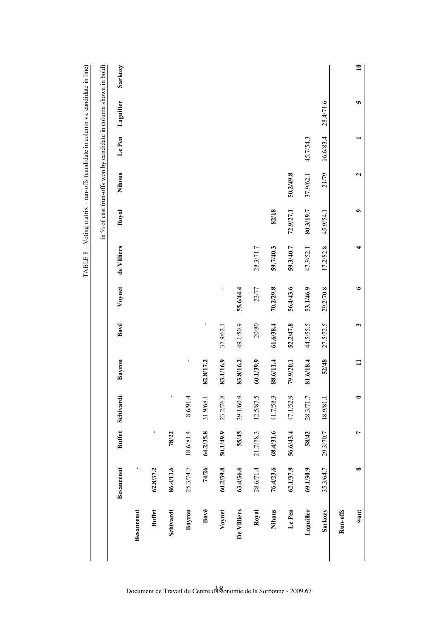|                             | 2         | $\bullet$ | ᡪ                                                                | $\bullet$                                                                      | S            | $\mathbf{H}$ | $\bullet$ | $\overline{ }$ | $\infty$           | won:              |
|-----------------------------|-----------|-----------|------------------------------------------------------------------|--------------------------------------------------------------------------------|--------------|--------------|-----------|----------------|--------------------|-------------------|
|                             |           |           |                                                                  |                                                                                |              |              |           |                |                    | Run-offs          |
| 16.6/83.4                   | 21/79     | 45.9/54.1 | 17.2/82.8                                                        | 29.2/70.8                                                                      | 27.5/72.5    | 52/48        | 18.9/81.1 | 29.3/70.7      | 35.3/64.7          | Sarkozy           |
| 45.7/54.3                   | 37.9/62.1 | 80.3/19.7 | 47.9/52.1                                                        | 53.1/46.9                                                                      | 44.5/55.5    | 81.6/18.4    | 28.3/71.7 | 58/42          | 69.1/30.9          | Laguiller         |
|                             | 50.2/49.8 | 72.9/27.1 | 59.3/40.7                                                        | 56.4/43.6                                                                      | 52.2/47.8    | 79.9/20.1    | 47.1/52.9 | 56.6/43.4      | 62.1/37.9          | Le Pen            |
|                             |           | 82/18     | 59.7/40.3                                                        | 70.2/29.8                                                                      | 61.6/38.4    | 88.6/11.4    | 41.7/58.3 |                | 76.4/23.6          | Nihous            |
|                             |           |           | 28.3/71.7                                                        | 23/77                                                                          | 20/80        | 60.1/39.9    | 12.5/87.5 | 21.7/78.3      | 28.6/71.4          | Royal             |
|                             |           |           |                                                                  | 55.6/44.4                                                                      | 49.1/50.9    | 83.8/16.2    | 39.1/60.9 |                | 63.4/36.6          | De Villiers       |
|                             |           |           |                                                                  |                                                                                | 37.9/62.1    | 83.1/16.9    | 23.2/76.8 | 50.1/49.9      | 60.2/39.8          | Voynet            |
|                             |           |           |                                                                  |                                                                                | $\mathbf{I}$ | 82.8/17.2    | 31.9/68.1 | 64.2/35.8      | 74/26              | Bové              |
|                             |           |           |                                                                  |                                                                                |              | ı            | 8.6/91.4  | 18.6/81.4      | 25.3/74.7          | Bayrou            |
|                             |           |           |                                                                  |                                                                                |              |              |           | 78/22          | 86.4/13.6          | Schivardi         |
|                             |           |           |                                                                  |                                                                                |              |              |           | ı              | 62.8/37.2          | <b>Buffet</b>     |
|                             |           |           |                                                                  |                                                                                |              |              |           |                | ı                  | <b>Besancenot</b> |
| Le Pen                      | Nihous    | Royal     | de Villiers                                                      | Voynet                                                                         | Bové         | Bayrou       | Schivardi | <b>Buffet</b>  | <b>Besancenot</b>  |                   |
|                             |           |           |                                                                  |                                                                                |              |              |           |                |                    |                   |
|                             |           |           |                                                                  |                                                                                |              |              |           |                |                    |                   |
| Laguiller<br>28.4/71.6<br>n |           |           | in % of cast (run-offs won by candidate in column shown in bold) | TABLE 8 - Voting matrix - run-offs (candidate in column vs. candidate in line) |              |              |           |                | 68.4/31.6<br>55/45 |                   |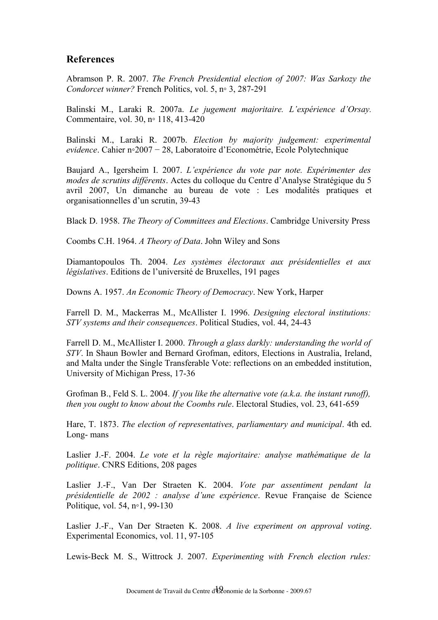## **References**

Abramson P. R. 2007. *The French Presidential election of 2007: Was Sarkozy the Condorcet winner?* French Politics, vol. 5, n◦ 3, 287-291

Balinski M., Laraki R. 2007a. *Le jugement majoritaire. L'expérience d'Orsay.* Commentaire, vol. 30, n◦ 118, 413-420

Balinski M., Laraki R. 2007b. *Election by majority judgement: experimental evidence*. Cahier n◦2007 − 28, Laboratoire d'Econométrie, Ecole Polytechnique

Baujard A., Igersheim I. 2007. *L'expérience du vote par note. Expérimenter des modes de scrutins différents*. Actes du colloque du Centre d'Analyse Stratégique du 5 avril 2007, Un dimanche au bureau de vote : Les modalités pratiques et organisationnelles d'un scrutin, 39-43

Black D. 1958. *The Theory of Committees and Elections*. Cambridge University Press

Coombs C.H. 1964. *A Theory of Data*. John Wiley and Sons

Diamantopoulos Th. 2004. *Les systèmes électoraux aux présidentielles et aux législatives*. Editions de l'université de Bruxelles, 191 pages

Downs A. 1957. *An Economic Theory of Democracy*. New York, Harper

Farrell D. M., Mackerras M., McAllister I. 1996. *Designing electoral institutions: STV systems and their consequences*. Political Studies, vol. 44, 24-43

Farrell D. M., McAllister I. 2000. *Through a glass darkly: understanding the world of STV*. In Shaun Bowler and Bernard Grofman, editors, Elections in Australia, Ireland, and Malta under the Single Transferable Vote: reflections on an embedded institution, University of Michigan Press, 17-36

Grofman B., Feld S. L. 2004. *If you like the alternative vote (a.k.a. the instant runoff), then you ought to know about the Coombs rule*. Electoral Studies, vol. 23, 641-659

Hare, T. 1873. *The election of representatives, parliamentary and municipal*. 4th ed. Long- mans

Laslier J.-F. 2004. *Le vote et la règle majoritaire: analyse mathématique de la politique*. CNRS Editions, 208 pages

Laslier J.-F., Van Der Straeten K. 2004. *Vote par assentiment pendant la présidentielle de 2002 : analyse d'une expérience*. Revue Française de Science Politique, vol. 54, n◦1, 99-130

Laslier J.-F., Van Der Straeten K. 2008. *A live experiment on approval voting*. Experimental Economics, vol. 11, 97-105

Lewis-Beck M. S., Wittrock J. 2007. *Experimenting with French election rules:*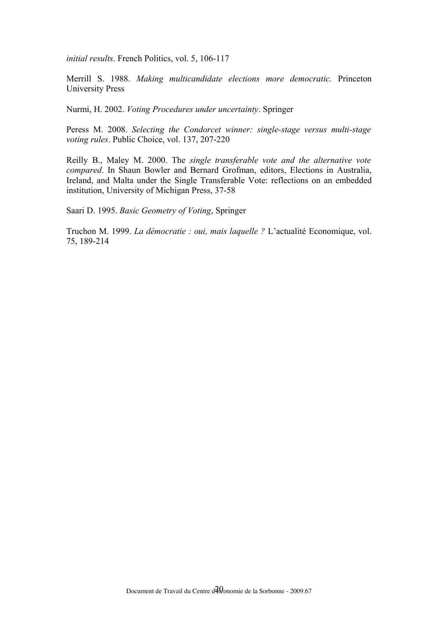*initial results*. French Politics, vol. 5, 106-117

Merrill S. 1988. *Making multicandidate elections more democratic.* Princeton University Press

Nurmi, H. 2002. *Voting Procedures under uncertainty*. Springer

Peress M. 2008. *Selecting the Condorcet winner: single-stage versus multi-stage voting rules*. Public Choice, vol. 137, 207-220

Reilly B., Maley M. 2000. The *single transferable vote and the alternative vote compared*. In Shaun Bowler and Bernard Grofman, editors, Elections in Australia, Ireland, and Malta under the Single Transferable Vote: reflections on an embedded institution, University of Michigan Press, 37-58

Saari D. 1995. *Basic Geometry of Voting*, Springer

Truchon M. 1999. *La démocratie : oui, mais laquelle ?* L'actualité Economique, vol. 75, 189-214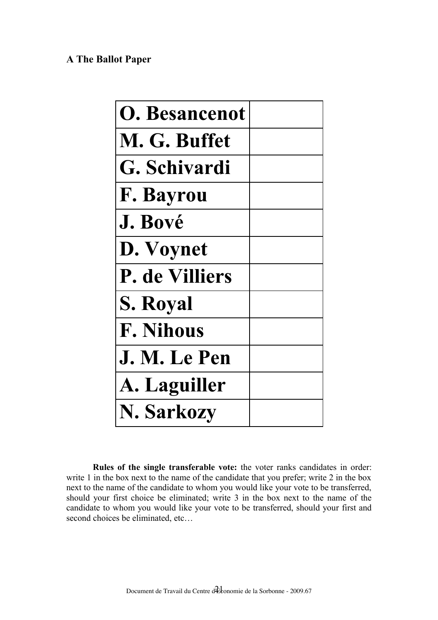## **A The Ballot Paper**

| <b>O.</b> Besancenot |  |
|----------------------|--|
| M. G. Buffet         |  |
| G. Schivardi         |  |
| F. Bayrou            |  |
| J. Bové              |  |
| D. Voynet            |  |
| P. de Villiers       |  |
| <b>S. Royal</b>      |  |
| <b>F. Nihous</b>     |  |
| J. M. Le Pen         |  |
| A. Laguiller         |  |
| N. Sarkozy           |  |

**Rules of the single transferable vote:** the voter ranks candidates in order: write 1 in the box next to the name of the candidate that you prefer; write 2 in the box next to the name of the candidate to whom you would like your vote to be transferred, should your first choice be eliminated; write 3 in the box next to the name of the candidate to whom you would like your vote to be transferred, should your first and second choices be eliminated, etc...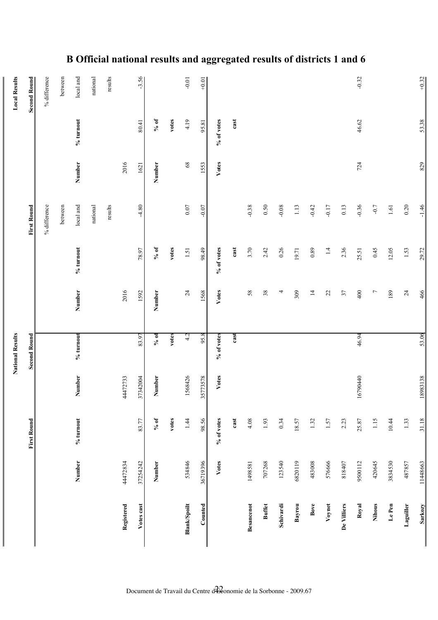|                     |               |                    |               | <b>National Results</b> |                |               |                    |             |               | <b>Local Results</b> |
|---------------------|---------------|--------------------|---------------|-------------------------|----------------|---------------|--------------------|-------------|---------------|----------------------|
|                     |               | <b>First Round</b> |               | <b>Second Round</b>     |                |               | <b>First Round</b> |             |               | <b>Second Round</b>  |
|                     |               |                    |               |                         |                |               | % difference       |             |               | % difference         |
|                     |               |                    |               |                         |                |               | between            |             |               | between              |
|                     | Number        | $\%$ turnout       | Number        | % turnout               | Number         | % turnout     | local and          | Number      | % turnout     | local and            |
|                     |               |                    |               |                         |                |               | $\it national$     |             |               | $\it national$       |
|                     |               |                    |               |                         |                |               | results            |             |               | results              |
| Registered          | 44472834      |                    | 44472733      |                         | 2016           |               |                    | 2016        |               |                      |
| Votes cast          | 37254242      | 83.77              | 37342004      | 83.97                   | 1592           | 78.97         | $-4.80$            | 1621        | 80.41         | $-3.56$              |
|                     | <b>Number</b> | $\%$ of            | <b>Number</b> | $%$ of                  | Number         | $\%$ of       |                    | Number      | $\%$ of       |                      |
|                     |               | votes              |               | votes                   |                | votes         |                    |             | votes         |                      |
| <b>Blank/Spoilt</b> | 534846        | 1.44               | 1568426       | 4.2                     | $24$           | $1.51\,$      | $0.07\,$           | $\sqrt{68}$ | 4.19          | $-0.01$              |
| Counted             | 36719396      | 98.56              | 35773578      | 95.8                    | 1568           | 98.49         | $-0.07$            | 1553        | 95.81         | $+0.01$              |
|                     | Votes         | $\%$ of votes      | Votes         | % of votes              | Votes          | $\%$ of votes |                    | Votes       | $\%$ of votes |                      |
|                     |               | cast               |               | cast                    |                | $\c{ast}$     |                    |             | cast          |                      |
| <b>Besancenot</b>   | 1498581       | 4.08               |               |                         | 58             | 3.70          | $-0.38$            |             |               |                      |
| <b>Buffet</b>       | 707268        | 1.93               |               |                         | $38\,$         | 2.42          | 0.50               |             |               |                      |
| Schivardi           | 123540        | 0.34               |               |                         | 4              | 0.26          | $-0.08$            |             |               |                      |
| Bayrou              | 6820119       | 18.57              |               |                         | 309            | 19.71         | 1.13               |             |               |                      |
| Bove                | 483008        | 1.32               |               |                         | $\overline{1}$ | 0.89          | $-0.42$            |             |               |                      |
| Voynet              | 576666        | 1.57               |               |                         | 22             | 1.4           | $-0.17$            |             |               |                      |
| De Villiers         | 818407        | 2.23               |               |                         | 37             | 2.36          | 0.13               |             |               |                      |
| Royal               | 9500112       | 25.87              | 16790440      | 46.94                   | 400            | 25.51         | $-0.36$            | 724         | 46.62         | $-0.32$              |
| Nihous              | 420645        | $1.15$             |               |                         | $\overline{ }$ | 0.45          | $-0.7$             |             |               |                      |
| Le Pen              | 3834530       | 10.44              |               |                         | 189            | 12.05         | $1.61\,$           |             |               |                      |
| Laguiller           | 487857        | $1.33$             |               |                         | 24             | 1.53          | 0.20               |             |               |                      |
| Sarkozy             | 11448663      | 31.18              | 18983138      | 53.06                   | 466            | 29.72         | $-1.46$            | 829         | 53.38         | $+0.32$              |

## **B Official national results and aggregated results of districts 1 and 6**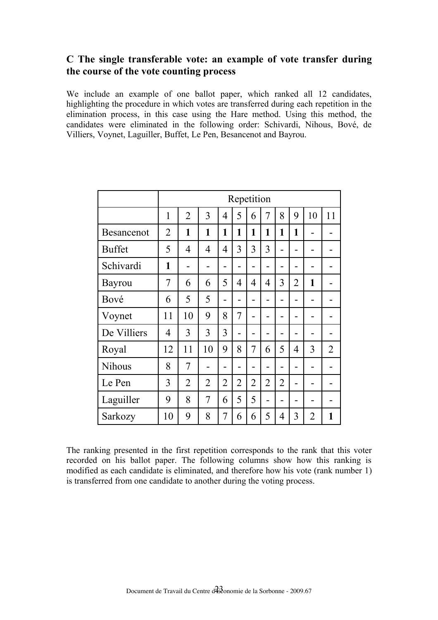## **C The single transferable vote: an example of vote transfer during the course of the vote counting process**

We include an example of one ballot paper, which ranked all 12 candidates, highlighting the procedure in which votes are transferred during each repetition in the elimination process, in this case using the Hare method. Using this method, the candidates were eliminated in the following order: Schivardi, Nihous, Bové, de Villiers, Voynet, Laguiller, Buffet, Le Pen, Besancenot and Bayrou.

|                   |                |                |                |                |                | Repetition               |                |                |                |                |                |
|-------------------|----------------|----------------|----------------|----------------|----------------|--------------------------|----------------|----------------|----------------|----------------|----------------|
|                   | 1              | $\overline{2}$ | 3              | $\overline{4}$ | 5              | 6                        | 7              | 8              | 9              | 10             | 11             |
| <b>Besancenot</b> | $\overline{2}$ | $\mathbf{1}$   | 1              | 1              | 1              | $\mathbf{1}$             | $\mathbf{1}$   | 1              | 1              |                |                |
| <b>Buffet</b>     | 5              | $\overline{4}$ | $\overline{4}$ | 4              | 3              | 3                        | 3              |                |                |                |                |
| Schivardi         | 1              |                |                |                | -              | $\blacksquare$           |                | -              | $\blacksquare$ |                |                |
| Bayrou            | 7              | 6              | 6              | 5              | 4              | $\overline{4}$           | $\overline{4}$ | 3              | $\overline{2}$ | 1              |                |
| Bové              | 6              | 5              | 5              |                |                |                          |                |                |                |                |                |
| Voynet            | 11             | 10             | 9              | 8              | 7              |                          |                |                |                |                |                |
| De Villiers       | $\overline{4}$ | 3              | 3              | 3              |                |                          |                |                |                |                |                |
| Royal             | 12             | 11             | 10             | 9              | 8              | $\overline{7}$           | 6              | 5              | 4              | 3              | $\overline{2}$ |
| <b>Nihous</b>     | 8              | 7              |                | -              | -              | $\overline{\phantom{0}}$ | -              | -              | -              |                | -              |
| Le Pen            | 3              | $\overline{2}$ | $\overline{2}$ | $\overline{2}$ | $\overline{2}$ | $\overline{2}$           | $\overline{2}$ | $\overline{2}$ |                |                |                |
| Laguiller         | 9              | 8              | 7              | 6              | 5              | 5                        |                |                |                |                |                |
| Sarkozy           | 10             | 9              | 8              | 7              | 6              | 6                        | 5              | 4              | 3              | $\overline{2}$ | 1              |

The ranking presented in the first repetition corresponds to the rank that this voter recorded on his ballot paper. The following columns show how this ranking is modified as each candidate is eliminated, and therefore how his vote (rank number 1) is transferred from one candidate to another during the voting process.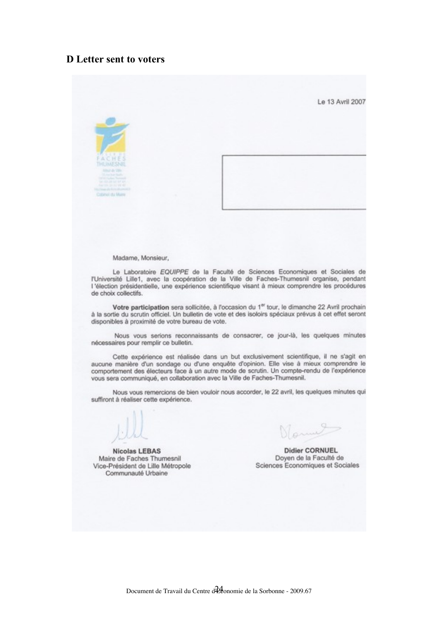#### **D Letter sent to voters**

Le 13 Avril 2007

#### Madame, Monsieur,

Le Laboratoire EQUIPPE de la Faculté de Sciences Economiques et Sociales de l'Université Lille1, avec la coopération de la Ville de Faches-Thumesnil organise, pendant l'élection présidentielle, une expérience scientifique visant à mieux comprendre les procédures de choix collectifs.

Votre participation sera sollicitée, à l'occasion du 1er tour, le dimanche 22 Avril prochain à la sortie du scrutin officiel. Un bulletin de vote et des isoloirs spéciaux prévus à cet effet seront disponibles à proximité de votre bureau de vote.

Nous vous serions reconnaissants de consacrer, ce jour-là, les quelques minutes nécessaires pour remplir ce bulletin.

Cette expérience est réalisée dans un but exclusivement scientifique, il ne s'agit en aucune manière d'un sondage ou d'une enquête d'opinion. Elle vise à mieux comprendre le comportement des électeurs face à un autre mode de scrutin. Un compte-rendu de l'expérience vous sera communiqué, en collaboration avec la Ville de Faches-Thumesnil.

Nous vous remercions de bien vouloir nous accorder, le 22 avril, les quelques minutes qui suffiront à réaliser cette expérience.

**Nicolas LEBAS** Maire de Faches Thumesnil Vice-Président de Lille Métropole Communauté Urbaine

**Didier CORNUEL** Doyen de la Faculté de Sciences Economiques et Sociales